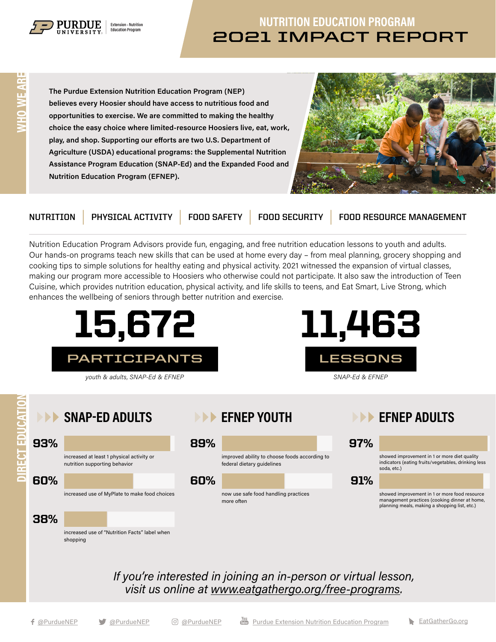

## **2021 IMPACT REPORT** NUTRITION EDUCATION PROGRAM

The Purdue Extension Nutrition Education Program (NEP) believes every Hoosier should have access to nutritious food and opportunities to exercise. We are committed to making the healthy choice the easy choice where limited-resource Hoosiers live, eat, work, play, and shop. Supporting our efforts are two U.S. Department of Agriculture (USDA) educational programs: the Supplemental Nutrition Assistance Program Education (SNAP-Ed) and the Expanded Food and Nutrition Education Program (EFNEP).



**NUTRITION | PHYSICAL ACTIVITY | FOOD SAFETY | FOOD SECURITY | FOOD RESOURCE MANAGEMENT**

Nutrition Education Program Advisors provide fun, engaging, and free nutrition education lessons to youth and adults. Our hands-on programs teach new skills that can be used at home every day – from meal planning, grocery shopping and cooking tips to simple solutions for healthy eating and physical activity. 2021 witnessed the expansion of virtual classes, making our program more accessible to Hoosiers who otherwise could not participate. It also saw the introduction of Teen Cuisine, which provides nutrition education, physical activity, and life skills to teens, and Eat Smart, Live Strong, which enhances the wellbeing of seniors through better nutrition and exercise.



If you're interested in joining an in-person or virtual lesson, visit us online at [www.eatgathergo.org/free-programs](http://www.eatgathergo.org/free-programs).